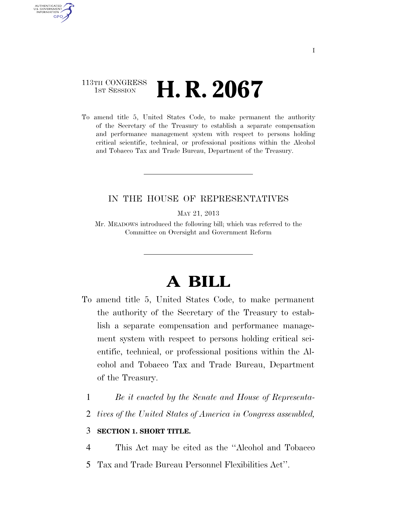### 113TH CONGRESS **1st Session H. R. 2067**

AUTHENTICATED U.S. GOVERNMENT **GPO** 

> To amend title 5, United States Code, to make permanent the authority of the Secretary of the Treasury to establish a separate compensation and performance management system with respect to persons holding critical scientific, technical, or professional positions within the Alcohol and Tobacco Tax and Trade Bureau, Department of the Treasury.

### IN THE HOUSE OF REPRESENTATIVES

MAY 21, 2013

Mr. MEADOWS introduced the following bill; which was referred to the Committee on Oversight and Government Reform

# **A BILL**

- To amend title 5, United States Code, to make permanent the authority of the Secretary of the Treasury to establish a separate compensation and performance management system with respect to persons holding critical scientific, technical, or professional positions within the Alcohol and Tobacco Tax and Trade Bureau, Department of the Treasury.
	- 1 *Be it enacted by the Senate and House of Representa-*
	- 2 *tives of the United States of America in Congress assembled,*

### 3 **SECTION 1. SHORT TITLE.**

4 This Act may be cited as the ''Alcohol and Tobacco

5 Tax and Trade Bureau Personnel Flexibilities Act''.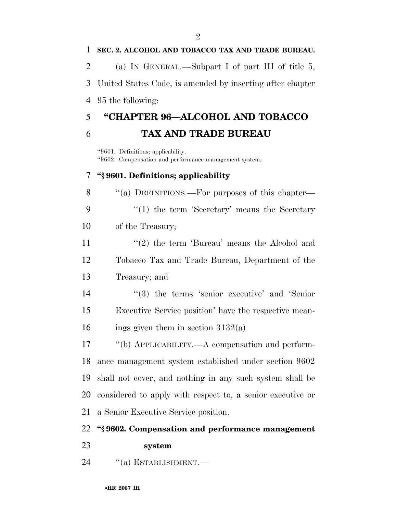### **SEC. 2. ALCOHOL AND TOBACCO TAX AND TRADE BUREAU.**

(a) IN GENERAL.—Subpart I of part III of title 5,

 United States Code, is amended by inserting after chapter 95 the following:

## **''CHAPTER 96—ALCOHOL AND TOBACCO TAX AND TRADE BUREAU**

''9601. Definitions; applicability. ''9602. Compensation and performance management system.

### **''§ 9601. Definitions; applicability**

8 "(a) DEFINITIONS.—For purposes of this chapter— 9 ''(1) the term 'Secretary' means the Secretary of the Treasury;

11  $\frac{1}{2}$  the term 'Bureau' means the Alcohol and Tobacco Tax and Trade Bureau, Department of the Treasury; and

14  $(3)$  the terms 'senior executive' and 'Senior Executive Service position' have the respective mean-16 ings given them in section  $3132(a)$ .

 ''(b) APPLICABILITY.—A compensation and perform- ance management system established under section 9602 shall not cover, and nothing in any such system shall be considered to apply with respect to, a senior executive or a Senior Executive Service position.

### **''§ 9602. Compensation and performance management**

### **system**

24 "(a) ESTABLISHMENT.—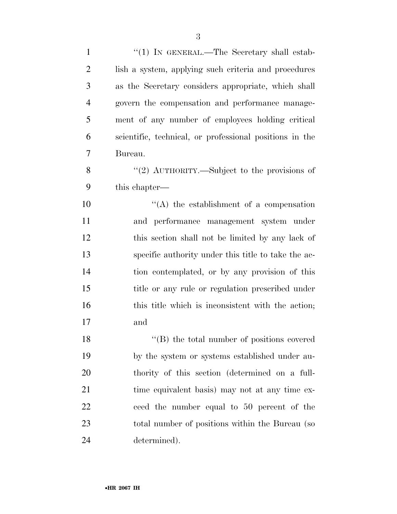| $\mathbf{1}$   | " $(1)$ IN GENERAL.—The Secretary shall estab-          |
|----------------|---------------------------------------------------------|
| $\overline{2}$ | lish a system, applying such criteria and procedures    |
| 3              | as the Secretary considers appropriate, which shall     |
| $\overline{4}$ | govern the compensation and performance manage-         |
| 5              | ment of any number of employees holding critical        |
| 6              | scientific, technical, or professional positions in the |
| 7              | Bureau.                                                 |
| 8              | "(2) $\text{AUTHORITY}$ .—Subject to the provisions of  |
| 9              | this chapter—                                           |
| 10             | $\lq\lq$ the establishment of a compensation            |
| 11             | and performance management system under                 |
| 12             | this section shall not be limited by any lack of        |
| 13             | specific authority under this title to take the ac-     |
| 14             | tion contemplated, or by any provision of this          |
| 15             | title or any rule or regulation prescribed under        |
| 16             | this title which is inconsistent with the action;       |
| 17             | and                                                     |
| 18             | "(B) the total number of positions covered              |
| 19             | by the system or systems established under au-          |
| 20             | thority of this section (determined on a full-          |
| 21             | time equivalent basis) may not at any time ex-          |
| 22             | ceed the number equal to 50 percent of the              |
| 23             | total number of positions within the Bureau (so         |
| 24             | determined).                                            |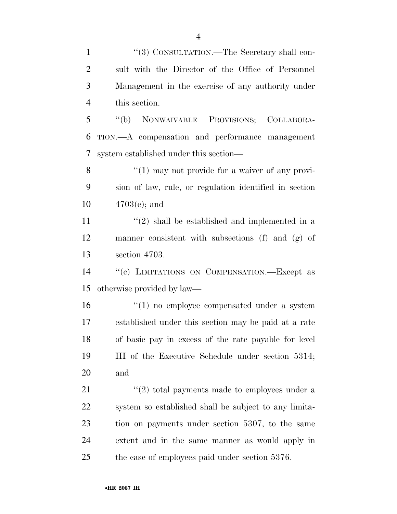1 "(3) CONSULTATION.—The Secretary shall con- sult with the Director of the Office of Personnel Management in the exercise of any authority under this section.

 ''(b) NONWAIVABLE PROVISIONS; COLLABORA- TION.—A compensation and performance management system established under this section—

8 ''(1) may not provide for a waiver of any provi- sion of law, rule, or regulation identified in section 4703(c); and

11  $\frac{1}{2}$  shall be established and implemented in a manner consistent with subsections (f) and (g) of section 4703.

 ''(c) LIMITATIONS ON COMPENSATION.—Except as otherwise provided by law—

 $\frac{16}{10}$  no employee compensated under a system established under this section may be paid at a rate of basic pay in excess of the rate payable for level III of the Executive Schedule under section 5314; and

 $\frac{1}{2}$   $\frac{1}{2}$  total payments made to employees under a system so established shall be subject to any limita- tion on payments under section 5307, to the same extent and in the same manner as would apply in the case of employees paid under section 5376.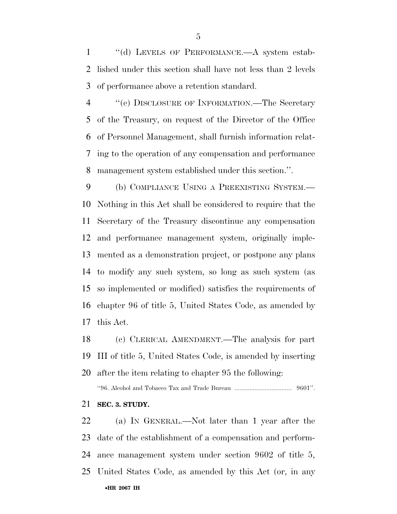''(d) LEVELS OF PERFORMANCE.—A system estab- lished under this section shall have not less than 2 levels of performance above a retention standard.

 ''(e) DISCLOSURE OF INFORMATION.—The Secretary of the Treasury, on request of the Director of the Office of Personnel Management, shall furnish information relat- ing to the operation of any compensation and performance management system established under this section.''.

 (b) COMPLIANCE USING A PREEXISTING SYSTEM.— Nothing in this Act shall be considered to require that the Secretary of the Treasury discontinue any compensation and performance management system, originally imple- mented as a demonstration project, or postpone any plans to modify any such system, so long as such system (as so implemented or modified) satisfies the requirements of chapter 96 of title 5, United States Code, as amended by this Act.

 (c) CLERICAL AMENDMENT.—The analysis for part III of title 5, United States Code, is amended by inserting after the item relating to chapter 95 the following:

''96. Alcohol and Tobacco Tax and Trade Bureau .................................. 9601''.

**SEC. 3. STUDY.** 

•**HR 2067 IH** (a) IN GENERAL.—Not later than 1 year after the date of the establishment of a compensation and perform- ance management system under section 9602 of title 5, United States Code, as amended by this Act (or, in any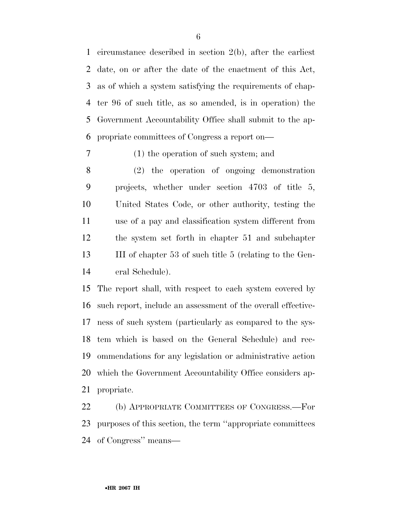circumstance described in section 2(b), after the earliest date, on or after the date of the enactment of this Act, as of which a system satisfying the requirements of chap- ter 96 of such title, as so amended, is in operation) the Government Accountability Office shall submit to the ap-propriate committees of Congress a report on—

### (1) the operation of such system; and

 (2) the operation of ongoing demonstration projects, whether under section 4703 of title 5, United States Code, or other authority, testing the use of a pay and classification system different from the system set forth in chapter 51 and subchapter III of chapter 53 of such title 5 (relating to the Gen-eral Schedule).

 The report shall, with respect to each system covered by such report, include an assessment of the overall effective- ness of such system (particularly as compared to the sys- tem which is based on the General Schedule) and rec- ommendations for any legislation or administrative action which the Government Accountability Office considers ap-propriate.

 (b) APPROPRIATE COMMITTEES OF CONGRESS.—For purposes of this section, the term ''appropriate committees of Congress'' means